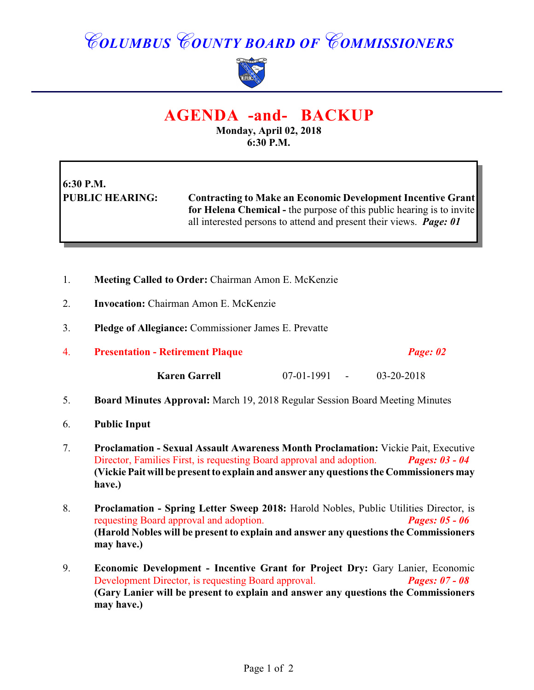## *COLUMBUS COUNTY BOARD OF COMMISSIONERS*



### **AGENDA -and- BACKUP**

**Monday, April 02, 2018 6:30 P.M.**

# **6:30 P.M.**

**PUBLIC HEARING: Contracting to Make an Economic Development Incentive Grant for Helena Chemical -** the purpose of this public hearing is to invite all interested persons to attend and present their views. *Page: 01*

- 1. **Meeting Called to Order:** Chairman Amon E. McKenzie
- 2. **Invocation:** Chairman Amon E. McKenzie
- 3. **Pledge of Allegiance:** Commissioner James E. Prevatte
- 4. **Presentation Retirement Plaque** *Page: 02*

**Karen Garrell** 07-01-1991 - 03-20-2018

- 5. **Board Minutes Approval:** March 19, 2018 Regular Session Board Meeting Minutes
- 6. **Public Input**
- 7. **Proclamation Sexual Assault Awareness Month Proclamation:** Vickie Pait, Executive Director, Families First, is requesting Board approval and adoption. *Pages: 03 - 04* **(Vickie Pait will be present to explain and answer any questions the Commissioners may have.)**
- 8. **Proclamation Spring Letter Sweep 2018:** Harold Nobles, Public Utilities Director, is requesting Board approval and adoption. *Pages: 05 - 06* **(Harold Nobles will be present to explain and answer any questions the Commissioners may have.)**
- 9. **Economic Development Incentive Grant for Project Dry:** Gary Lanier, Economic Development Director, is requesting Board approval. *Pages: 07 - 08* **(Gary Lanier will be present to explain and answer any questions the Commissioners may have.)**